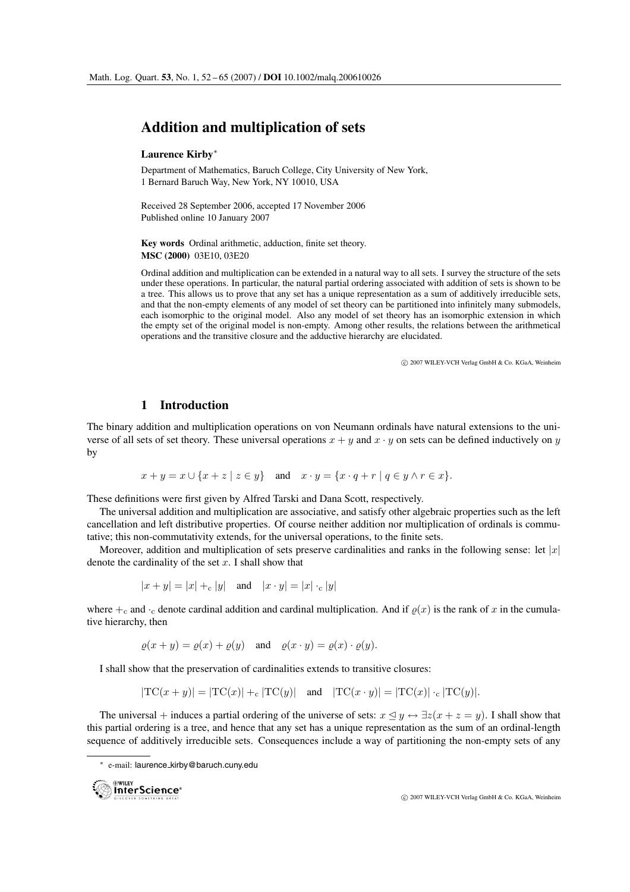# **Addition and multiplication of sets**

### **Laurence Kirby**∗

Department of Mathematics, Baruch College, City University of New York, 1 Bernard Baruch Way, New York, NY 10010, USA

Received 28 September 2006, accepted 17 November 2006 Published online 10 January 2007

**Key words** Ordinal arithmetic, adduction, finite set theory. **MSC (2000)** 03E10, 03E20

Ordinal addition and multiplication can be extended in a natural way to all sets. I survey the structure of the sets under these operations. In particular, the natural partial ordering associated with addition of sets is shown to be a tree. This allows us to prove that any set has a unique representation as a sum of additively irreducible sets, and that the non-empty elements of any model of set theory can be partitioned into infinitely many submodels, each isomorphic to the original model. Also any model of set theory has an isomorphic extension in which the empty set of the original model is non-empty. Among other results, the relations between the arithmetical operations and the transitive closure and the adductive hierarchy are elucidated.

 $\circ$  2007 WILEY-VCH Verlag GmbH & Co. KGaA, Weinheim

# **1 Introduction**

The binary addition and multiplication operations on von Neumann ordinals have natural extensions to the universe of all sets of set theory. These universal operations  $x + y$  and  $x \cdot y$  on sets can be defined inductively on y by

$$
x + y = x \cup \{x + z \mid z \in y\} \quad \text{and} \quad x \cdot y = \{x \cdot q + r \mid q \in y \land r \in x\}.
$$

These definitions were first given by Alfred Tarski and Dana Scott, respectively.

The universal addition and multiplication are associative, and satisfy other algebraic properties such as the left cancellation and left distributive properties. Of course neither addition nor multiplication of ordinals is commutative; this non-commutativity extends, for the universal operations, to the finite sets.

Moreover, addition and multiplication of sets preserve cardinalities and ranks in the following sense: let  $|x|$ denote the cardinality of the set  $x$ . I shall show that

$$
|x + y| = |x| + \varepsilon |y| \quad \text{and} \quad |x \cdot y| = |x| \cdot \varepsilon |y|
$$

where  $+c$  and  $-c$  denote cardinal addition and cardinal multiplication. And if  $\rho(x)$  is the rank of x in the cumulative hierarchy, then

$$
\varrho(x + y) = \varrho(x) + \varrho(y)
$$
 and  $\varrho(x \cdot y) = \varrho(x) \cdot \varrho(y)$ .

I shall show that the preservation of cardinalities extends to transitive closures:

$$
|\text{TC}(x+y)| = |\text{TC}(x)| + \text{c} |\text{TC}(y)| \quad \text{and} \quad |\text{TC}(x \cdot y)| = |\text{TC}(x)| \cdot \text{c} |\text{TC}(y)|.
$$

The universal + induces a partial ordering of the universe of sets:  $x \leq y \leftrightarrow \exists z (x + z = y)$ . I shall show that this partial ordering is a tree, and hence that any set has a unique representation as the sum of an ordinal-length sequence of additively irreducible sets. Consequences include a way of partitioning the non-empty sets of any

<sup>∗</sup> e-mail: laurence kirby@baruch.cuny.edu

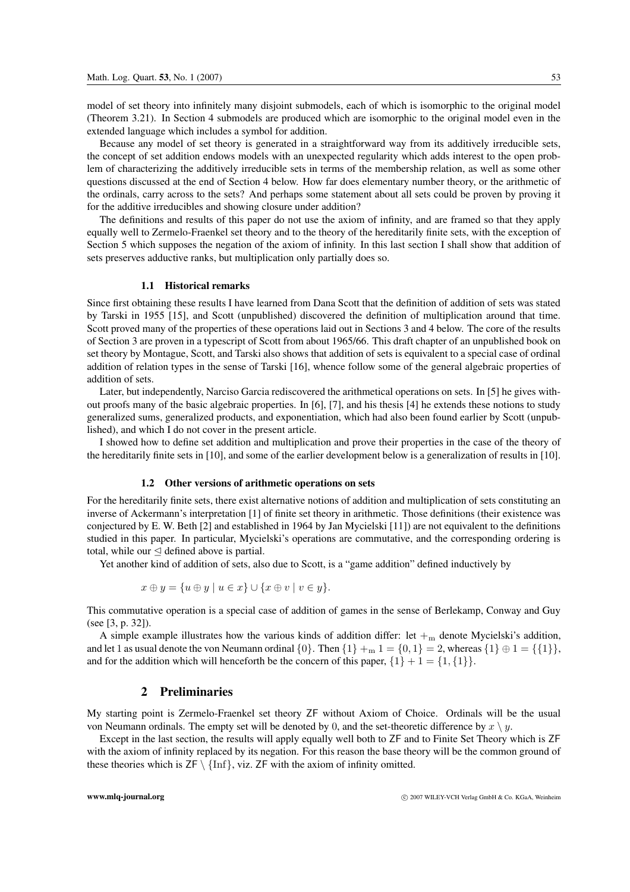model of set theory into infinitely many disjoint submodels, each of which is isomorphic to the original model (Theorem 3.21). In Section 4 submodels are produced which are isomorphic to the original model even in the extended language which includes a symbol for addition.

Because any model of set theory is generated in a straightforward way from its additively irreducible sets, the concept of set addition endows models with an unexpected regularity which adds interest to the open problem of characterizing the additively irreducible sets in terms of the membership relation, as well as some other questions discussed at the end of Section 4 below. How far does elementary number theory, or the arithmetic of the ordinals, carry across to the sets? And perhaps some statement about all sets could be proven by proving it for the additive irreducibles and showing closure under addition?

The definitions and results of this paper do not use the axiom of infinity, and are framed so that they apply equally well to Zermelo-Fraenkel set theory and to the theory of the hereditarily finite sets, with the exception of Section 5 which supposes the negation of the axiom of infinity. In this last section I shall show that addition of sets preserves adductive ranks, but multiplication only partially does so.

### **1.1 Historical remarks**

Since first obtaining these results I have learned from Dana Scott that the definition of addition of sets was stated by Tarski in 1955 [15], and Scott (unpublished) discovered the definition of multiplication around that time. Scott proved many of the properties of these operations laid out in Sections 3 and 4 below. The core of the results of Section 3 are proven in a typescript of Scott from about 1965/66. This draft chapter of an unpublished book on set theory by Montague, Scott, and Tarski also shows that addition of sets is equivalent to a special case of ordinal addition of relation types in the sense of Tarski [16], whence follow some of the general algebraic properties of addition of sets.

Later, but independently, Narciso Garcia rediscovered the arithmetical operations on sets. In [5] he gives without proofs many of the basic algebraic properties. In [6], [7], and his thesis [4] he extends these notions to study generalized sums, generalized products, and exponentiation, which had also been found earlier by Scott (unpublished), and which I do not cover in the present article.

I showed how to define set addition and multiplication and prove their properties in the case of the theory of the hereditarily finite sets in [10], and some of the earlier development below is a generalization of results in [10].

### **1.2 Other versions of arithmetic operations on sets**

For the hereditarily finite sets, there exist alternative notions of addition and multiplication of sets constituting an inverse of Ackermann's interpretation [1] of finite set theory in arithmetic. Those definitions (their existence was conjectured by E. W. Beth [2] and established in 1964 by Jan Mycielski [11]) are not equivalent to the definitions studied in this paper. In particular, Mycielski's operations are commutative, and the corresponding ordering is total, while our  $\triangleleft$  defined above is partial.

Yet another kind of addition of sets, also due to Scott, is a "game addition" defined inductively by

$$
x \oplus y = \{u \oplus y \mid u \in x\} \cup \{x \oplus v \mid v \in y\}.
$$

This commutative operation is a special case of addition of games in the sense of Berlekamp, Conway and Guy (see [3, p. 32]).

A simple example illustrates how the various kinds of addition differ: let  $+_{\rm m}$  denote Mycielski's addition, and let 1 as usual denote the von Neumann ordinal  $\{0\}$ . Then  $\{1\} +_{m} 1 = \{0, 1\} = 2$ , whereas  $\{1\} \oplus 1 = \{\{1\}\}$ , and for the addition which will henceforth be the concern of this paper,  $\{1\} + 1 = \{1, \{1\}\}.$ 

# **2 Preliminaries**

My starting point is Zermelo-Fraenkel set theory ZF without Axiom of Choice. Ordinals will be the usual von Neumann ordinals. The empty set will be denoted by 0, and the set-theoretic difference by  $x \setminus y$ .

Except in the last section, the results will apply equally well both to ZF and to Finite Set Theory which is ZF with the axiom of infinity replaced by its negation. For this reason the base theory will be the common ground of these theories which is  $ZF \setminus \{\text{Inf}\}\$ , viz.  $ZF$  with the axiom of infinity omitted.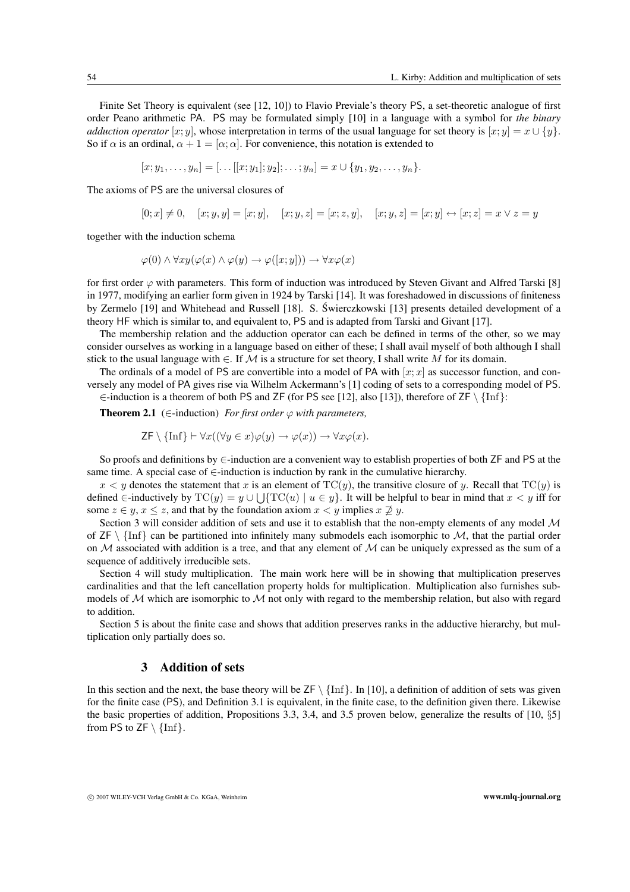Finite Set Theory is equivalent (see [12, 10]) to Flavio Previale's theory PS, a set-theoretic analogue of first order Peano arithmetic PA. PS may be formulated simply [10] in a language with a symbol for *the binary adduction operator* [x; y], whose interpretation in terms of the usual language for set theory is  $[x; y] = x \cup \{y\}$ . So if  $\alpha$  is an ordinal,  $\alpha + 1 = [\alpha; \alpha]$ . For convenience, this notation is extended to

$$
[x; y_1, \ldots, y_n] = [\ldots [[x; y_1]; y_2]; \ldots; y_n] = x \cup \{y_1, y_2, \ldots, y_n\}.
$$

The axioms of PS are the universal closures of

$$
[0; x] \neq 0, \quad [x; y, y] = [x; y], \quad [x; y, z] = [x; z, y], \quad [x; y, z] = [x; y] \leftrightarrow [x; z] = x \lor z = y
$$

together with the induction schema

$$
\varphi(0) \land \forall xy (\varphi(x) \land \varphi(y) \to \varphi([x; y])) \to \forall x \varphi(x)
$$

for first order  $\varphi$  with parameters. This form of induction was introduced by Steven Givant and Alfred Tarski [8] in 1977, modifying an earlier form given in 1924 by Tarski [14]. It was foreshadowed in discussions of finiteness by Zermelo [19] and Whitehead and Russell [18]. S. Swierczkowski [13] presents detailed development of a ´ theory HF which is similar to, and equivalent to, PS and is adapted from Tarski and Givant [17].

The membership relation and the adduction operator can each be defined in terms of the other, so we may consider ourselves as working in a language based on either of these; I shall avail myself of both although I shall stick to the usual language with  $\in$ . If M is a structure for set theory, I shall write M for its domain.

The ordinals of a model of PS are convertible into a model of PA with  $[x; x]$  as successor function, and conversely any model of PA gives rise via Wilhelm Ackermann's [1] coding of sets to a corresponding model of PS. ∈-induction is a theorem of both PS and ZF (for PS see [12], also [13]), therefore of ZF \ {Inf}:

**Theorem 2.1** ( $\in$ -induction) *For first order*  $\varphi$  *with parameters.* 

$$
\mathsf{ZF}\setminus\{\mathrm{Inf}\}\vdash\forall x((\forall y\in x)\varphi(y)\to\varphi(x))\to\forall x\varphi(x).
$$

So proofs and definitions by ∈-induction are a convenient way to establish properties of both ZF and PS at the same time. A special case of  $\in$ -induction is induction by rank in the cumulative hierarchy.

 $x < y$  denotes the statement that x is an element of TC(y), the transitive closure of y. Recall that TC(y) is defined ∈-inductively by  $TC(y) = y \cup \int \{TC(u) \mid u \in y\}$ . It will be helpful to bear in mind that  $x < y$  iff for some  $z \in y$ ,  $x \le z$ , and that by the foundation axiom  $x < y$  implies  $x \not\supseteq y$ .

Section 3 will consider addition of sets and use it to establish that the non-empty elements of any model M of  $ZF \setminus \{\text{Inf}\}\)$  can be partitioned into infinitely many submodels each isomorphic to M, that the partial order on  $M$  associated with addition is a tree, and that any element of  $M$  can be uniquely expressed as the sum of a sequence of additively irreducible sets.

Section 4 will study multiplication. The main work here will be in showing that multiplication preserves cardinalities and that the left cancellation property holds for multiplication. Multiplication also furnishes submodels of  $M$  which are isomorphic to  $M$  not only with regard to the membership relation, but also with regard to addition.

Section 5 is about the finite case and shows that addition preserves ranks in the adductive hierarchy, but multiplication only partially does so.

# **3 Addition of sets**

In this section and the next, the base theory will be  $ZF \setminus \{\text{Inf}\}\$ . In [10], a definition of addition of sets was given for the finite case (PS), and Definition 3.1 is equivalent, in the finite case, to the definition given there. Likewise the basic properties of addition, Propositions 3.3, 3.4, and 3.5 proven below, generalize the results of [10, §5] from PS to  $ZF \setminus \{\text{Inf}\}.$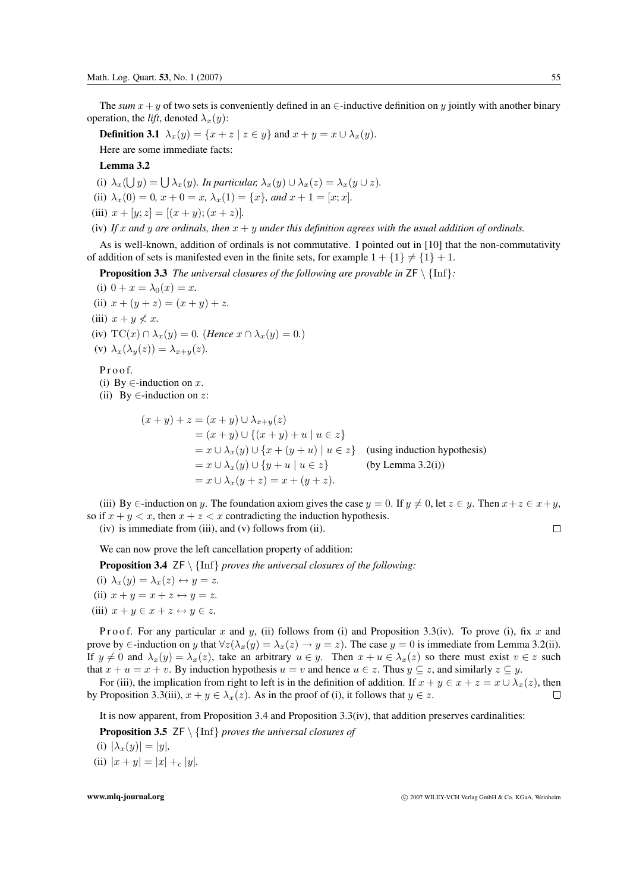The *sum*  $x + y$  of two sets is conveniently defined in an ∈-inductive definition on y jointly with another binary operation, the *lift*, denoted  $\lambda_x(y)$ :

**Definition 3.1**  $\lambda_x(y) = \{x + z \mid z \in y\}$  and  $x + y = x \cup \lambda_x(y)$ .

Here are some immediate facts:

**Lemma 3.2**

(i)  $\lambda_x(\bigcup y) = \bigcup \lambda_x(y)$ *. In particular,*  $\lambda_x(y) \cup \lambda_x(z) = \lambda_x(y \cup z)$ *.* 

(ii)  $\lambda_x(0) = 0, x + 0 = x, \lambda_x(1) = \{x\}$ *, and*  $x + 1 = [x; x]$ *.* 

(iii)  $x + [y; z] = [(x + y); (x + z)].$ 

(iv) If x and y are ordinals, then  $x + y$  under this definition agrees with the usual addition of ordinals.

As is well-known, addition of ordinals is not commutative. I pointed out in [10] that the non-commutativity of addition of sets is manifested even in the finite sets, for example  $1 + \{1\} \neq \{1\} + 1$ .

**Proposition 3.3** *The universal closures of the following are provable in*  $\mathsf{ZF} \setminus \{\text{Inf}\}$ :

(i)  $0 + x = \lambda_0(x) = x$ . (ii)  $x + (y + z) = (x + y) + z$ . (iii)  $x + y \nless x$ . (iv)  $TC(x) \cap \lambda_x(y) = 0$ *. (Hence*  $x \cap \lambda_x(y) = 0$ *.)* (v)  $\lambda_x(\lambda_y(z)) = \lambda_{x+y}(z)$ . Pro of (i) By  $\in$ -induction on x.

(ii) By  $\in$ -induction on z:

$$
(x + y) + z = (x + y) \cup \lambda_{x+y}(z)
$$
  
=  $(x + y) \cup \{(x + y) + u \mid u \in z\}$   
=  $x \cup \lambda_x(y) \cup \{x + (y + u) \mid u \in z\}$  (using induction hypothesis)  
=  $x \cup \lambda_x(y) \cup \{y + u \mid u \in z\}$  (by Lemma 3.2(i))  
=  $x \cup \lambda_x(y + z) = x + (y + z)$ .

(iii) By  $\in$ -induction on y. The foundation axiom gives the case  $y = 0$ . If  $y \neq 0$ , let  $z \in y$ . Then  $x + z \in x + y$ , so if  $x + y < x$ , then  $x + z < x$  contradicting the induction hypothesis.

(iv) is immediate from (iii), and (v) follows from (ii).

We can now prove the left cancellation property of addition:

**Proposition 3.4** ZF \ {Inf} *proves the universal closures of the following:*

(i)  $\lambda_x(y) = \lambda_x(z) \leftrightarrow y = z$ . (ii)  $x + y = x + z \leftrightarrow y = z$ . (iii)  $x + y \in x + z \leftrightarrow y \in z$ .

Proof. For any particular x and y, (ii) follows from (i) and Proposition 3.3(iv). To prove (i), fix x and prove by ∈-induction on y that  $\forall z(\lambda_x(y)) = \lambda_x(z) \rightarrow y = z$ . The case  $y = 0$  is immediate from Lemma 3.2(ii). If  $y \neq 0$  and  $\lambda_x(y) = \lambda_x(z)$ , take an arbitrary  $u \in y$ . Then  $x + u \in \lambda_x(z)$  so there must exist  $v \in z$  such that  $x + u = x + v$ . By induction hypothesis  $u = v$  and hence  $u \in z$ . Thus  $y \subset z$ , and similarly  $z \subset y$ .

For (iii), the implication from right to left is in the definition of addition. If  $x + y \in x + z = x \cup \lambda_x(z)$ , then<br>Proposition 3.3(iii)  $x + y \in \lambda_x(z)$ . As in the proof of (i) it follows that  $y \in z$ . by Proposition 3.3(iii),  $x + y \in \lambda_x(z)$ . As in the proof of (i), it follows that  $y \in z$ .

It is now apparent, from Proposition 3.4 and Proposition 3.3(iv), that addition preserves cardinalities:

**Proposition 3.5** ZF \ {Inf} *proves the universal closures of*

(i)  $|\lambda_x(y)| = |y|$ ,

(ii)  $|x + y| = |x| + |y|$ .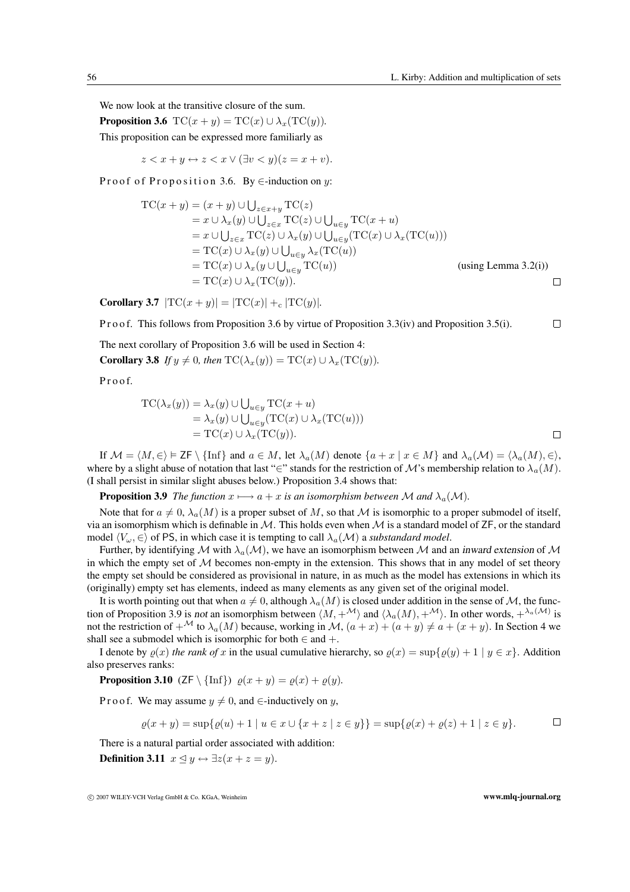$\Box$ 

We now look at the transitive closure of the sum.

**Proposition 3.6**  $TC(x + y) = TC(x) \cup \lambda_x (TC(y))$ . This proposition can be expressed more familiarly as

 $z < x + y \leftrightarrow z < x \vee (\exists v < y)(z = x + v).$ 

Proof of Proposition 3.6. By  $\in$ -induction on y:

$$
TC(x + y) = (x + y) \cup \bigcup_{z \in x + y} TC(z)
$$
  
\n
$$
= x \cup \lambda_x(y) \cup \bigcup_{z \in x} TC(z) \cup \bigcup_{u \in y} TC(x + u)
$$
  
\n
$$
= x \cup \bigcup_{z \in x} TC(z) \cup \lambda_x(y) \cup \bigcup_{u \in y} (TC(x) \cup \lambda_x (TC(u)))
$$
  
\n
$$
= TC(x) \cup \lambda_x(y) \cup \bigcup_{u \in y} \lambda_x (TC(u))
$$
  
\n
$$
= TC(x) \cup \lambda_x(y \cup \bigcup_{u \in y} TC(u))
$$
  
\n
$$
= TC(x) \cup \lambda_x (TC(y)).
$$

**Corollary 3.7**  $|TC(x + y)| = |TC(x)| + c |TC(y)|$ *.* 

P r o o f. This follows from Proposition 3.6 by virtue of Proposition 3.3(iv) and Proposition 3.5(i).

The next corollary of Proposition 3.6 will be used in Section 4:

**Corollary 3.8** *If*  $y \neq 0$ *, then*  $TC(\lambda_x(y)) = TC(x) \cup \lambda_x(TC(y))$ *.* 

P r o o f.

$$
TC(\lambda_x(y)) = \lambda_x(y) \cup \bigcup_{u \in y} TC(x+u)
$$
  
=  $\lambda_x(y) \cup \bigcup_{u \in y} (TC(x) \cup \lambda_x (TC(u)))$   
=  $TC(x) \cup \lambda_x (TC(y)).$ 

If  $\mathcal{M} = \langle M, \in \rangle \models \mathsf{ZF} \setminus \{\text{Inf}\}\$ and  $a \in M$ , let  $\lambda_a(M)$  denote  $\{a + x \mid x \in M\}\$ and  $\lambda_a(\mathcal{M}) = \langle \lambda_a(M), \in \rangle$ , where by a slight abuse of notation that last "∈" stands for the restriction of M's membership relation to  $\lambda_a(M)$ . (I shall persist in similar slight abuses below.) Proposition 3.4 shows that:

**Proposition 3.9** *The function*  $x \mapsto a + x$  *is an isomorphism between* M *and*  $\lambda_a(\mathcal{M})$ *.* 

Note that for  $a \neq 0$ ,  $\lambda_a(M)$  is a proper subset of M, so that M is isomorphic to a proper submodel of itself, via an isomorphism which is definable in  $M$ . This holds even when M is a standard model of ZF, or the standard model  $\langle V_\omega, \in \rangle$  of PS, in which case it is tempting to call  $\lambda_a(\mathcal{M})$  a *substandard model*.

Further, by identifying M with  $\lambda_a(\mathcal{M})$ , we have an isomorphism between M and an inward extension of M in which the empty set of  $M$  becomes non-empty in the extension. This shows that in any model of set theory the empty set should be considered as provisional in nature, in as much as the model has extensions in which its (originally) empty set has elements, indeed as many elements as any given set of the original model.

It is worth pointing out that when  $a \neq 0$ , although  $\lambda_a(M)$  is closed under addition in the sense of M, the function of Proposition 3.9 is not an isomorphism between  $\langle M, +^{\mathcal{M}} \rangle$  and  $\langle \lambda_a(M), +^{\mathcal{M}} \rangle$ . In other words,  $+^{\lambda_a(\mathcal{M})}$  is not the restriction of  $+^{\mathcal{M}}$  to  $\lambda_a(M)$  because, working in M,  $(a+x)+(a+y) \neq a+(x+y)$ . In Section 4 we shall see a submodel which is isomorphic for both  $\in$  and  $+$ .

I denote by  $\rho(x)$  *the rank of* x in the usual cumulative hierarchy, so  $\rho(x) = \sup\{\rho(y) + 1 \mid y \in x\}$ . Addition also preserves ranks:

**Proposition 3.10** (ZF \ {Inf})  $\varrho(x + y) = \varrho(x) + \varrho(y)$ *.* 

P r o o f. We may assume  $y \neq 0$ , and  $\in$ -inductively on y,

$$
\varrho(x + y) = \sup \{ \varrho(u) + 1 \mid u \in x \cup \{x + z \mid z \in y\} \} = \sup \{ \varrho(x) + \varrho(z) + 1 \mid z \in y \}.
$$

There is a natural partial order associated with addition:

**Definition 3.11**  $x \triangleleft y \leftrightarrow \exists z (x + z = y)$ .

<sup>c</sup> 2007 WILEY-VCH Verlag GmbH & Co. KGaA, Weinheim **www.mlq-journal.org**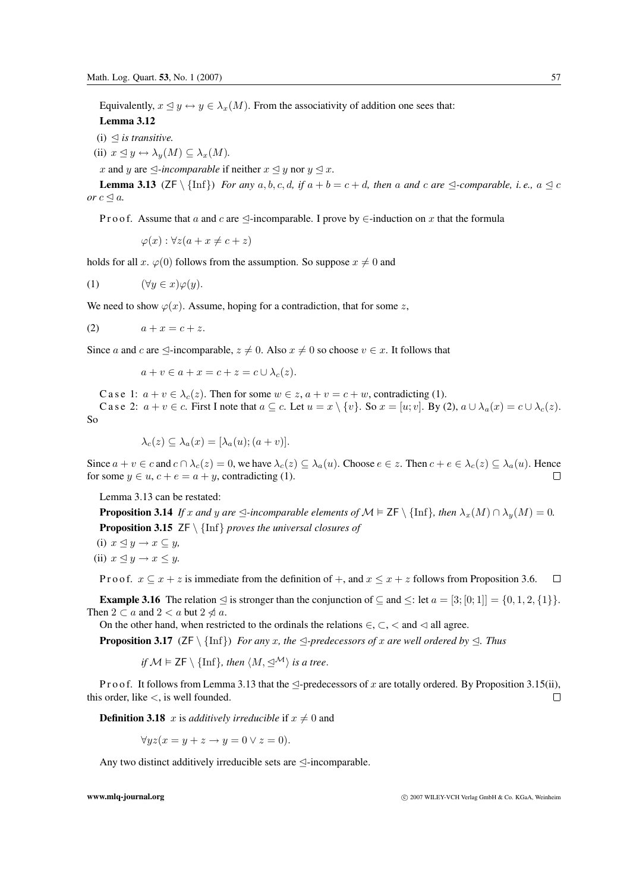Equivalently,  $x \triangleleft y \leftrightarrow y \in \lambda_x(M)$ . From the associativity of addition one sees that:

# **Lemma 3.12**

 $(i) \triangleleft$  *is transitive.* 

- (ii)  $x \leq y \leftrightarrow \lambda_{y}(M) \subseteq \lambda_{x}(M)$ .
- x and y are  $\triangle$ *-incomparable* if neither  $x \triangleleft y$  nor  $y \triangleleft x$ .

**Lemma 3.13** ( $ZF \setminus \{\text{Inf}\}\$  *For any*  $a, b, c, d$ , if  $a + b = c + d$ , then a and c are  $\triangleleft$ -comparable, i.e.,  $a \triangleleft c$ *or*  $c \leq a$ *.* 

P r o o f. Assume that a and c are  $\triangleleft$ -incomparable. I prove by  $\in$ -induction on x that the formula

$$
\varphi(x): \forall z (a + x \neq c + z)
$$

holds for all x.  $\varphi(0)$  follows from the assumption. So suppose  $x \neq 0$  and

(1) 
$$
(\forall y \in x)\varphi(y).
$$

We need to show  $\varphi(x)$ . Assume, hoping for a contradiction, that for some z,

$$
(2) \qquad \qquad a+x=c+z.
$$

Since a and c are  $\triangleleft$ -incomparable,  $z \neq 0$ . Also  $x \neq 0$  so choose  $v \in x$ . It follows that

$$
a + v \in a + x = c + z = c \cup \lambda_c(z).
$$

C a s e 1:  $a + v \in \lambda_c(z)$ . Then for some  $w \in z$ ,  $a + v = c + w$ , contradicting (1). C a s e 2:  $a + v \in c$ . First I note that  $a \subseteq c$ . Let  $u = x \setminus \{v\}$ . So  $x = [u; v]$ . By (2),  $a \cup \lambda_a(x) = c \cup \lambda_c(z)$ . So

$$
\lambda_c(z) \subseteq \lambda_a(x) = [\lambda_a(u); (a+v)].
$$

Since  $a + v \in c$  and  $c \cap \lambda_c(z) = 0$ , we have  $\lambda_c(z) \subseteq \lambda_a(u)$ . Choose  $e \in z$ . Then  $c + e \in \lambda_c(z) \subseteq \lambda_a(u)$ . Hence for some  $u \in u$ ,  $c + e = a + u$ , contradicting (1). for some  $y \in u$ ,  $c + e = a + y$ , contradicting (1).

Lemma 3.13 can be restated:

**Proposition 3.14** *If* x and y are  $\leq$ -incomparable elements of  $\mathcal{M} \models \mathsf{ZF} \setminus \{\text{Inf}\}\$ *, then*  $\lambda_x(M) \cap \lambda_y(M) = 0$ *.* **Proposition 3.15** ZF \ {Inf} *proves the universal closures of*

(i) 
$$
x \le y \to x \subseteq y
$$
,  
(ii)  $x \le y \to x \le y$ .

P r o o f.  $x \subseteq x + z$  is immediate from the definition of  $+$ , and  $x \le x + z$  follows from Proposition 3.6.  $\Box$ 

**Example 3.16** The relation  $\lhd$  is stronger than the conjunction of  $\lhd$  and  $\lhd$ : let  $a = [3; [0; 1]] = \{0, 1, 2, \{1\}\}\.$ Then  $2 \subset a$  and  $2 < a$  but  $2 \nless a$ .

On the other hand, when restricted to the ordinals the relations  $\in$ ,  $\subset$ ,  $\lt$  and  $\lt$  all agree.

**Proposition 3.17** ( $ZF \setminus \{\text{Inf}\}\$  *For any* x*, the*  $\triangle$ -predecessors of x are well ordered by  $\triangle$ . Thus

if 
$$
M \vDash \mathsf{ZF} \setminus \{\text{Inf}\}, \text{ then } \langle M, \preceq^{\mathcal{M}} \rangle \text{ is a tree.}
$$

P r o o f. It follows from Lemma 3.13 that the  $\triangleleft$ -predecessors of x are totally ordered. By Proposition 3.15(ii), this order, like <, is well founded. П

**Definition 3.18** x is *additively irreducible* if  $x \neq 0$  and

$$
\forall y z (x = y + z \rightarrow y = 0 \lor z = 0).
$$

Any two distinct additively irreducible sets are  $\leq$ -incomparable.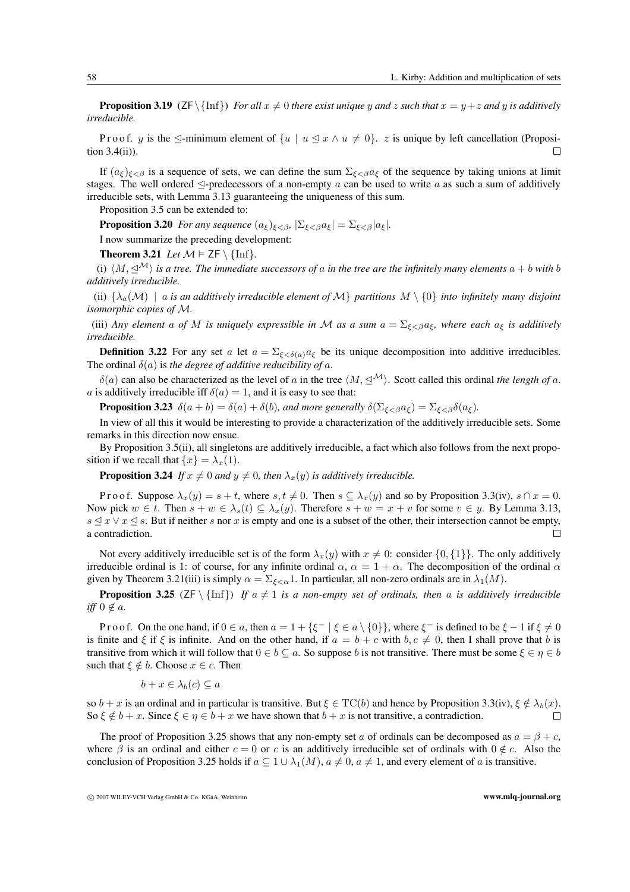**Proposition 3.19** ( $ZF\{\inf\}$ ) *For all*  $x \neq 0$  *there exist unique* y and z such that  $x = y + z$  and y *is additively irreducible.*

P r o o f. y is the  $\leq$ -minimum element of  $\{u \mid u \leq x \land u \neq 0\}$ . z is unique by left cancellation (Proposing 3.4(ii)). tion 3.4(ii)).

If  $(a_{\xi})_{\xi<\beta}$  is a sequence of sets, we can define the sum  $\Sigma_{\xi<\beta}a_{\xi}$  of the sequence by taking unions at limit stages. The well ordered  $\triangle$ -predecessors of a non-empty a can be used to write a as such a sum of additively irreducible sets, with Lemma 3.13 guaranteeing the uniqueness of this sum.

Proposition 3.5 can be extended to:

**Proposition 3.20** *For any sequence*  $(a_{\xi})_{\xi < \beta}, |\Sigma_{\xi < \beta} a_{\xi}| = \Sigma_{\xi < \beta} |a_{\xi}|.$ 

I now summarize the preceding development:

**Theorem 3.21** *Let*  $\mathcal{M} \models \mathsf{ZF} \setminus \{\text{Inf}\}.$ 

(i)  $\langle M, \trianglelefteq^{\mathcal{M}} \rangle$  is a tree. The immediate successors of a in the tree are the infinitely many elements  $a + b$  with b *additively irreducible.*

(ii)  $\{\lambda_a(\mathcal{M}) \mid a$  *is an additively irreducible element of*  $\mathcal{M}\}\$  *partitions*  $M \setminus \{0\}$  *into infinitely many disjoint isomorphic copies of* M*.*

(iii) *Any element* a *of* M *is uniquely expressible in* M as a sum  $a = \sum_{\xi < \beta} a_{\xi}$ , where each  $a_{\xi}$  *is additively irreducible.*

**Definition 3.22** For any set a let  $a = \sum_{\xi < \delta(a)} a_{\xi}$  be its unique decomposition into additive irreducibles. The ordinal  $\delta(a)$  is *the degree of additive reducibility of a*.

 $\delta(a)$  can also be characterized as the level of a in the tree  $\langle M, \leq^{\mathcal{M}} \rangle$ . Scott called this ordinal *the length of a*. a is additively irreducible iff  $\delta(a)=1$ , and it is easy to see that:

**Proposition 3.23**  $\delta(a + b) = \delta(a) + \delta(b)$ *, and more generally*  $\delta(\Sigma_{\xi < \beta} a_{\xi}) = \Sigma_{\xi < \beta} \delta(a_{\xi})$ *.* 

In view of all this it would be interesting to provide a characterization of the additively irreducible sets. Some remarks in this direction now ensue.

By Proposition 3.5(ii), all singletons are additively irreducible, a fact which also follows from the next proposition if we recall that  $\{x\} = \lambda_x(1)$ .

**Proposition 3.24** *If*  $x \neq 0$  *and*  $y \neq 0$ *, then*  $\lambda_x(y)$  *is additively irreducible.* 

P r o o f. Suppose  $\lambda_x(y) = s + t$ , where  $s, t \neq 0$ . Then  $s \subset \lambda_x(y)$  and so by Proposition 3.3(iv),  $s \cap x = 0$ . Now pick  $w \in t$ . Then  $s + w \in \lambda_s(t) \subseteq \lambda_x(y)$ . Therefore  $s + w = x + v$  for some  $v \in y$ . By Lemma 3.13,  $s \le x \vee x \le s$ . But if neither s nor x is empty and one is a subset of the other, their intersection cannot be empty, a contradiction a contradiction.

Not every additively irreducible set is of the form  $\lambda_x(y)$  with  $x \neq 0$ : consider  $\{0, \{1\}\}\.$  The only additively irreducible ordinal is 1: of course, for any infinite ordinal  $\alpha$ ,  $\alpha = 1 + \alpha$ . The decomposition of the ordinal  $\alpha$ given by Theorem 3.21(iii) is simply  $\alpha = \sum_{\xi < \alpha} 1$ . In particular, all non-zero ordinals are in  $\lambda_1(M)$ .

**Proposition 3.25** ( $\text{ZF} \setminus \{\text{Inf}\}\$ ) If  $a \neq 1$  is a non-empty set of ordinals, then a is additively irreducible *iff*  $0 \notin a$ *.* 

Pro of. On the one hand, if  $0 \in a$ , then  $a = 1 + {\xi^- \mid \xi \in a \setminus \{0\}}$ , where  $\xi^-$  is defined to be  $\xi - 1$  if  $\xi \neq 0$ is finite and  $\xi$  if  $\xi$  is infinite. And on the other hand, if  $a = b + c$  with  $b, c \neq 0$ , then I shall prove that b is transitive from which it will follow that  $0 \in b \subseteq a$ . So suppose b is not transitive. There must be some  $\xi \in \eta \in b$ such that  $\xi \notin b$ . Choose  $x \in c$ . Then

$$
b + x \in \lambda_b(c) \subseteq a
$$

so  $b + x$  is an ordinal and in particular is transitive. But  $\xi \in TC(b)$  and hence by Proposition 3.3(iv),  $\xi \notin \lambda_b(x)$ .<br>So  $\xi \notin b + x$ . Since  $\xi \in n \in b + x$  we have shown that  $b + x$  is not transitive, a contradiction. So  $\xi \notin b + x$ . Since  $\xi \in \eta \in b + x$  we have shown that  $b + x$  is not transitive, a contradiction.

The proof of Proposition 3.25 shows that any non-empty set a of ordinals can be decomposed as  $a = \beta + c$ , where  $\beta$  is an ordinal and either  $c = 0$  or c is an additively irreducible set of ordinals with  $0 \notin c$ . Also the conclusion of Proposition 3.25 holds if  $a \subseteq 1 \cup \lambda_1(M)$ ,  $a \neq 0$ ,  $a \neq 1$ , and every element of a is transitive.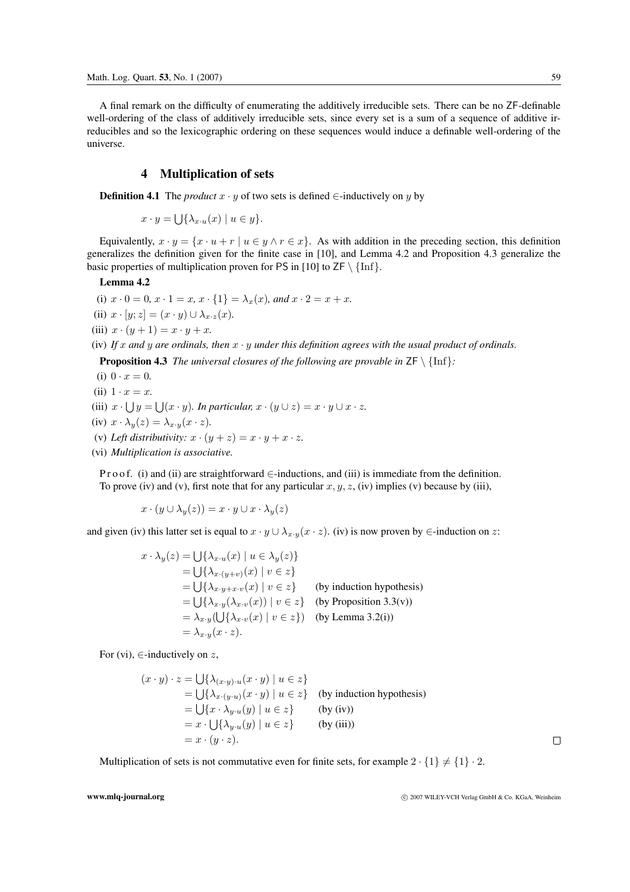A final remark on the difficulty of enumerating the additively irreducible sets. There can be no ZF-definable well-ordering of the class of additively irreducible sets, since every set is a sum of a sequence of additive irreducibles and so the lexicographic ordering on these sequences would induce a definable well-ordering of the universe.

## **4 Multiplication of sets**

**Definition 4.1** The *product*  $x \cdot y$  of two sets is defined ∈-inductively on y by

 $x \cdot y = \bigcup \{ \lambda_{x \cdot u}(x) \mid u \in y \}.$ 

Equivalently,  $x \cdot y = \{x \cdot u + r \mid u \in y \land r \in x\}$ . As with addition in the preceding section, this definition generalizes the definition given for the finite case in [10], and Lemma 4.2 and Proposition 4.3 generalize the basic properties of multiplication proven for PS in [10] to  $ZF \setminus \{\text{Inf}\}.$ 

### **Lemma 4.2**

(i)  $x \cdot 0 = 0$ ,  $x \cdot 1 = x$ ,  $x \cdot \{1\} = \lambda_x(x)$ , and  $x \cdot 2 = x + x$ . (ii)  $x \cdot [y; z] = (x \cdot y) \cup \lambda_{x \cdot z}(x)$ . (iii)  $x \cdot (y+1) = x \cdot y + x$ .

(iv) *If* x *and* y *are ordinals, then* x · y *under this definition agrees with the usual product of ordinals.*

**Proposition 4.3** *The universal closures of the following are provable in*  $ZF \setminus \{\text{Inf}\}$ :

(i)  $0 \cdot x = 0$ . (ii)  $1 \cdot x = x$ . (iii)  $x \cdot \bigcup y = \bigcup (x \cdot y)$ *. In particular,*  $x \cdot (y \cup z) = x \cdot y \cup x \cdot z$ *.* (iv)  $x \cdot \lambda_y(z) = \lambda_{x \cdot y}(x \cdot z)$ . (v) Left distributivity:  $x \cdot (y + z) = x \cdot y + x \cdot z$ . (vi) *Multiplication is associative.*

P r o o f. (i) and (ii) are straightforward ∈-inductions, and (iii) is immediate from the definition. To prove (iv) and (v), first note that for any particular  $x, y, z$ , (iv) implies (v) because by (iii),

$$
x \cdot (y \cup \lambda_y(z)) = x \cdot y \cup x \cdot \lambda_y(z)
$$

and given (iv) this latter set is equal to  $x \cdot y \cup \lambda_{x \cdot y}(x \cdot z)$ . (iv) is now proven by ∈-induction on z:

$$
x \cdot \lambda_y(z) = \bigcup \{\lambda_{x \cdot u}(x) \mid u \in \lambda_y(z)\}
$$
  
\n
$$
= \bigcup \{\lambda_{x \cdot (y+v)}(x) \mid v \in z\}
$$
  
\n
$$
= \bigcup \{\lambda_{x \cdot y + x \cdot v}(x) \mid v \in z\}
$$
 (by induction hypothesis)  
\n
$$
= \bigcup \{\lambda_{x \cdot y}(\lambda_{x \cdot v}(x)) \mid v \in z\}
$$
 (by Proposition 3.3(v))  
\n
$$
= \lambda_{x \cdot y}(\bigcup \{\lambda_{x \cdot v}(x) \mid v \in z\})
$$
 (by Lemma 3.2(i))  
\n
$$
= \lambda_{x \cdot y}(x \cdot z).
$$

For (vi),  $\in$ -inductively on z,

$$
(x \cdot y) \cdot z = \bigcup \{ \lambda_{(x \cdot y) \cdot u}(x \cdot y) \mid u \in z \}
$$
  
= 
$$
\bigcup \{ \lambda_{x \cdot (y \cdot u)}(x \cdot y) \mid u \in z \}
$$
 (by induction hypothesis)  
= 
$$
\bigcup \{ x \cdot \lambda_{y \cdot u}(y) \mid u \in z \}
$$
 (by (iv))  
= 
$$
x \cdot \bigcup \{ \lambda_{y \cdot u}(y) \mid u \in z \}
$$
 (by (iii))  
= 
$$
x \cdot (y \cdot z).
$$

Multiplication of sets is not commutative even for finite sets, for example  $2 \cdot \{1\} \neq \{1\} \cdot 2$ .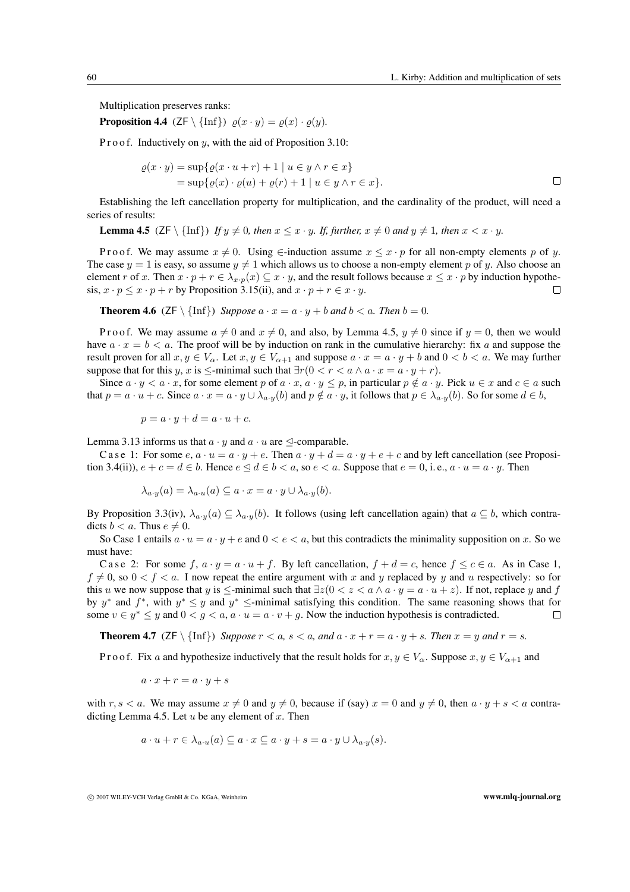Multiplication preserves ranks:

**Proposition 4.4** (ZF \ {Inf})  $\rho(x \cdot y) = \rho(x) \cdot \rho(y)$ *.* 

P r o o f. Inductively on  $y$ , with the aid of Proposition 3.10:

$$
\varrho(x \cdot y) = \sup \{ \varrho(x \cdot u + r) + 1 \mid u \in y \land r \in x \}
$$
  
= 
$$
\sup \{ \varrho(x) \cdot \varrho(u) + \varrho(r) + 1 \mid u \in y \land r \in x \}.
$$

Establishing the left cancellation property for multiplication, and the cardinality of the product, will need a series of results:

**Lemma 4.5** ( $ZF \setminus \{\text{Inf}\}\$ *) If*  $y \neq 0$ *, then*  $x \leq x \cdot y$ *. If, further,*  $x \neq 0$  *and*  $y \neq 1$ *, then*  $x < x \cdot y$ *.* 

P r o o f. We may assume  $x \neq 0$ . Using  $\in$ -induction assume  $x \leq x \cdot p$  for all non-empty elements p of y. The case  $y = 1$  is easy, so assume  $y \neq 1$  which allows us to choose a non-empty element p of y. Also choose an element r of x. Then  $x \cdot p + r \in \lambda_{x \cdot p}(x) \subseteq x \cdot y$ , and the result follows because  $x \le x \cdot p$  by induction hypothesis  $x \cdot n \le x \cdot n + r$  by Proposition 3.15(ii) and  $x \cdot n + r \in x \cdot y$ sis,  $x \cdot p \le x \cdot p + r$  by Proposition 3.15(ii), and  $x \cdot p + r \in x \cdot y$ .

**Theorem 4.6** ( $ZF \setminus \{\text{Inf}\}\$ ) *Suppose*  $a \cdot x = a \cdot y + b$  *and*  $b < a$ *. Then*  $b = 0$ *.* 

P r o o f. We may assume  $a \neq 0$  and  $x \neq 0$ , and also, by Lemma 4.5,  $y \neq 0$  since if  $y = 0$ , then we would have  $a \cdot x = b < a$ . The proof will be by induction on rank in the cumulative hierarchy: fix a and suppose the result proven for all  $x, y \in V_\alpha$ . Let  $x, y \in V_{\alpha+1}$  and suppose  $a \cdot x = a \cdot y + b$  and  $0 < b < a$ . We may further suppose that for this y, x is  $\le$ -minimal such that  $\exists r (0 < r < a \land a \cdot x = a \cdot y + r)$ .

Since  $a \cdot y \le a \cdot x$ , for some element p of  $a \cdot x$ ,  $a \cdot y \le p$ , in particular  $p \notin a \cdot y$ . Pick  $u \in x$  and  $c \in a$  such that  $p = a \cdot u + c$ . Since  $a \cdot x = a \cdot y \cup \lambda_{a \cdot y}(b)$  and  $p \notin a \cdot y$ , it follows that  $p \in \lambda_{a \cdot y}(b)$ . So for some  $d \in b$ ,

$$
p = a \cdot y + d = a \cdot u + c.
$$

Lemma 3.13 informs us that  $a \cdot y$  and  $a \cdot u$  are  $\trianglelefteq$ -comparable.

C a s e 1: For some  $e, a \cdot u = a \cdot y + e$ . Then  $a \cdot y + d = a \cdot y + e + c$  and by left cancellation (see Proposition 3.4(ii)),  $e + c = d \in b$ . Hence  $e \leq d \in b < a$ , so  $e < a$ . Suppose that  $e = 0$ , i.e.,  $a \cdot u = a \cdot y$ . Then

$$
\lambda_{a\cdot y}(a) = \lambda_{a\cdot u}(a) \subseteq a \cdot x = a \cdot y \cup \lambda_{a\cdot y}(b).
$$

By Proposition 3.3(iv),  $\lambda_{a\cdot y}(a) \subseteq \lambda_{a\cdot y}(b)$ . It follows (using left cancellation again) that  $a \subseteq b$ , which contradicts  $b < a$ . Thus  $e \neq 0$ .

So Case 1 entails  $a \cdot u = a \cdot y + e$  and  $0 < e < a$ , but this contradicts the minimality supposition on x. So we must have:

C a s e 2: For some f,  $a \cdot y = a \cdot u + f$ . By left cancellation,  $f + d = c$ , hence  $f \le c \in a$ . As in Case 1,  $f \neq 0$ , so  $0 < f < a$ . I now repeat the entire argument with x and y replaced by y and u respectively: so for this u we now suppose that y is  $\le$ -minimal such that  $\exists z(0 < z < a \land a \cdot y = a \cdot u + z)$ . If not, replace y and f by y<sup>∗</sup> and f<sup>\*</sup>, with  $y^* \le y$  and  $y^* \le$ -minimal satisfying this condition. The same reasoning shows that for some  $v \in u^* \le u$  and  $0 \le a \le a, a \cdot u = a \cdot v + a$ . Now the induction hypothesis is contradicted. some  $v \in y^* \leq y$  and  $0 < g < a$ ,  $a \cdot u = a \cdot v + g$ . Now the induction hypothesis is contradicted.

**Theorem 4.7** ( $ZF \setminus \{\text{Inf}\}\$ ) *Suppose*  $r < a$ ,  $s < a$ , and  $a \cdot x + r = a \cdot y + s$ . Then  $x = y$  and  $r = s$ .

P r o o f. Fix a and hypothesize inductively that the result holds for  $x, y \in V_\alpha$ . Suppose  $x, y \in V_{\alpha+1}$  and

$$
a\cdot x+r=a\cdot y+s
$$

with  $r, s < a$ . We may assume  $x \neq 0$  and  $y \neq 0$ , because if (say)  $x = 0$  and  $y \neq 0$ , then  $a \cdot y + s < a$  contradicting Lemma 4.5. Let  $u$  be any element of  $x$ . Then

$$
a \cdot u + r \in \lambda_{a \cdot u}(a) \subseteq a \cdot x \subseteq a \cdot y + s = a \cdot y \cup \lambda_{a \cdot y}(s).
$$

<sup>c</sup> 2007 WILEY-VCH Verlag GmbH & Co. KGaA, Weinheim **www.mlq-journal.org**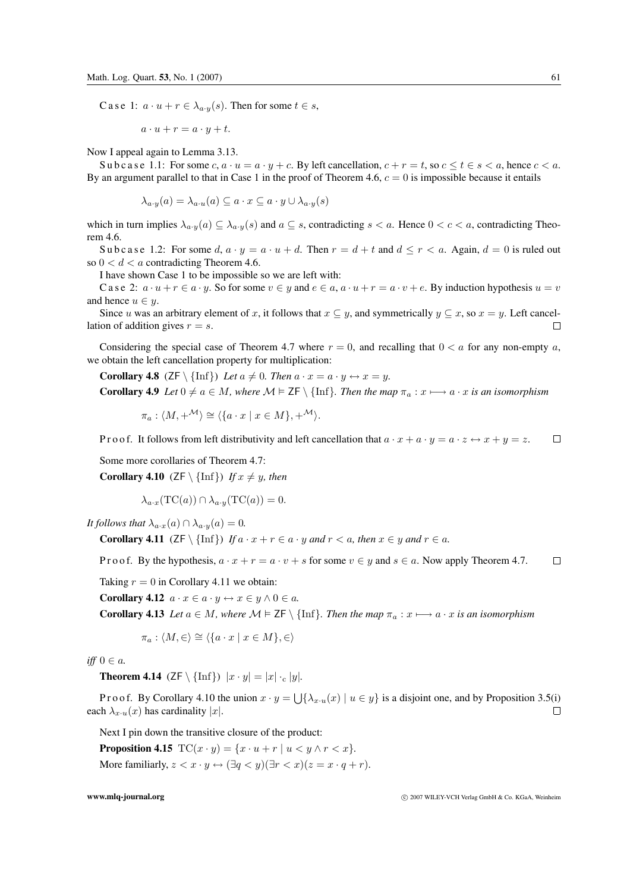C a s e 1:  $a \cdot u + r \in \lambda_{a \cdot y}(s)$ . Then for some  $t \in s$ ,

$$
a \cdot u + r = a \cdot y + t.
$$

Now I appeal again to Lemma 3.13.

Subcase 1.1: For some c,  $a \cdot u = a \cdot y + c$ . By left cancellation,  $c + r = t$ , so  $c \le t \le s < a$ , hence  $c < a$ . By an argument parallel to that in Case 1 in the proof of Theorem 4.6,  $c = 0$  is impossible because it entails

$$
\lambda_{a\cdot y}(a) = \lambda_{a\cdot u}(a) \subseteq a \cdot x \subseteq a \cdot y \cup \lambda_{a\cdot y}(s)
$$

which in turn implies  $\lambda_{a\cdot y}(a) \subseteq \lambda_{a\cdot y}(s)$  and  $a \subseteq s$ , contradicting  $s < a$ . Hence  $0 < c < a$ , contradicting Theorem 4.6.

Subcase 1.2: For some d,  $a \cdot y = a \cdot u + d$ . Then  $r = d + t$  and  $d \leq r \leq a$ . Again,  $d = 0$  is ruled out so  $0 < d < a$  contradicting Theorem 4.6.

I have shown Case 1 to be impossible so we are left with:

C a s e 2:  $a \cdot u + r \in a \cdot y$ . So for some  $v \in y$  and  $e \in a$ ,  $a \cdot u + r = a \cdot v + e$ . By induction hypothesis  $u = v$ and hence  $u \in y$ .

Since u was an arbitrary element of x, it follows that  $x \subseteq y$ , and symmetrically  $y \subseteq x$ , so  $x = y$ . Left cancelion of addition gives  $r = s$ . lation of addition gives  $r = s$ .

Considering the special case of Theorem 4.7 where  $r = 0$ , and recalling that  $0 < a$  for any non-empty a, we obtain the left cancellation property for multiplication:

**Corollary 4.8** ( $ZF \setminus \{\text{Inf}\}\$ ) *Let*  $a \neq 0$ *. Then*  $a \cdot x = a \cdot y \leftrightarrow x = y$ *.* 

**Corollary 4.9** *Let*  $0 \neq a \in M$ *, where*  $M \models \mathsf{ZF} \setminus \{\text{Inf}\}\$ *. Then the map*  $\pi_a : x \longmapsto a \cdot x$  *is an isomorphism* 

$$
\pi_a: \langle M, +^{\mathcal{M}} \rangle \cong \langle \{a \cdot x \mid x \in M \}, +^{\mathcal{M}} \rangle.
$$

 $\Box$ P r o o f. It follows from left distributivity and left cancellation that  $a \cdot x + a \cdot y = a \cdot z \leftrightarrow x + y = z$ .

Some more corollaries of Theorem 4.7:

**Corollary 4.10** ( $ZF \setminus \{\text{Inf}\}\$ ) *If*  $x \neq y$ *, then* 

$$
\lambda_{a \cdot x}(\mathrm{TC}(a)) \cap \lambda_{a \cdot y}(\mathrm{TC}(a)) = 0.
$$

*It follows that*  $\lambda_{a \cdot x}(a) \cap \lambda_{a \cdot y}(a) = 0$ *.* 

**Corollary 4.11** ( $ZF \setminus \{\text{Inf}\}\$ *) If*  $a \cdot x + r \in a \cdot y$  *and*  $r < a$ *, then*  $x \in y$  *and*  $r \in a$ *.* 

P r o o f. By the hypothesis,  $a \cdot x + r = a \cdot v + s$  for some  $v \in y$  and  $s \in a$ . Now apply Theorem 4.7.  $\Box$ 

Taking  $r = 0$  in Corollary 4.11 we obtain:

**Corollary 4.12**  $a \cdot x \in a \cdot y \leftrightarrow x \in y \wedge 0 \in a$ .

**Corollary 4.13** *Let*  $a \in M$ *, where*  $M \models \textsf{ZF} \setminus \{\text{Inf}\}\$ *. Then the map*  $\pi_a : x \longmapsto a \cdot x$  *is an isomorphism* 

 $\pi_a: \langle M, \in \rangle \cong \langle \{a \cdot x \mid x \in M \}, \in \rangle$ 

*iff* 0 ∈ *a*.

**Theorem 4.14** (ZF \ {Inf})  $|x \cdot y| = |x| \cdot c |y|$ *.* 

P r o o f. By Corollary 4.10 the union  $x \cdot y = \bigcup \{ \lambda_{x \cdot u}(x) \mid u \in y \}$  is a disjoint one, and by Proposition 3.5(i) ch  $\lambda_{x \cdot u}(x)$  has cardinality |x|. each  $\lambda_{x\cdot u}(x)$  has cardinality |x|.

Next I pin down the transitive closure of the product:

**Proposition 4.15**  $TC(x \cdot y) = \{x \cdot u + r \mid u < y \land r < x\}.$ More familiarly,  $z < x \cdot y \leftrightarrow (\exists q < y)(\exists r < x)(z = x \cdot q + r)$ .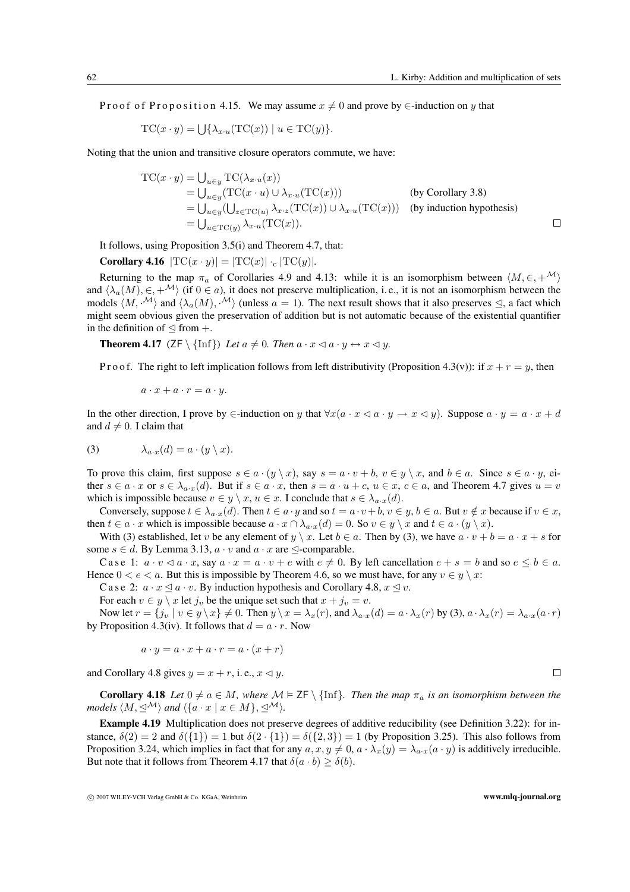P r o o f o f P r o p o s ition 4.15. We may assume  $x \neq 0$  and prove by  $\in$ -induction on y that

$$
TC(x \cdot y) = \bigcup \{ \lambda_{x \cdot u}(TC(x)) \mid u \in TC(y) \}.
$$

Noting that the union and transitive closure operators commute, we have:

$$
TC(x \cdot y) = \bigcup_{u \in y} TC(\lambda_{x \cdot u}(x))
$$
  
= 
$$
\bigcup_{u \in y} (TC(x \cdot u) \cup \lambda_{x \cdot u}(TC(x)))
$$
 (by Corollary 3.8)  
= 
$$
\bigcup_{u \in y} (\bigcup_{z \in TC(u)} \lambda_{x \cdot z}(TC(x)) \cup \lambda_{x \cdot u}(TC(x)))
$$
 (by induction hypothesis)  
= 
$$
\bigcup_{u \in TC(u)} \lambda_{x \cdot u}(TC(x)).
$$

It follows, using Proposition 3.5(i) and Theorem 4.7, that:

Corollary 4.16 
$$
|\text{TC}(x \cdot y)| = |\text{TC}(x)| \cdot_c |\text{TC}(y)|
$$
.

Returning to the map  $\pi_a$  of Corollaries 4.9 and 4.13: while it is an isomorphism between  $\langle M, \in, +^{\mathcal{M}} \rangle$ and  $\langle \lambda_a(M), \in, +^{\mathcal{M}} \rangle$  (if  $0 \in a$ ), it does not preserve multiplication, i.e., it is not an isomorphism between the models  $\langle M, \cdot^{\mathcal{M}} \rangle$  and  $\langle \lambda_a(M), \cdot^{\mathcal{M}} \rangle$  (unless  $a = 1$ ). The next result shows that it also preserves  $\leq$ , a fact which might seem obvious given the preservation of addition but is not automatic because of the existential quantifier in the definition of  $\lhd$  from  $+$ .

**Theorem 4.17** ( $ZF \setminus \{\text{Inf}\}\$ *) Let*  $a \neq 0$ *. Then*  $a \cdot x \le a \cdot y \leftrightarrow x \le y$ *.* 

P r o o f. The right to left implication follows from left distributivity (Proposition 4.3(v)): if  $x + r = y$ , then

$$
a \cdot x + a \cdot r = a \cdot y.
$$

In the other direction, I prove by ∈-induction on y that  $\forall x (a \cdot x \triangleleft a \cdot y \rightarrow x \triangleleft y)$ . Suppose  $a \cdot y = a \cdot x + d$ and  $d \neq 0$ . I claim that

(3) 
$$
\lambda_{a \cdot x}(d) = a \cdot (y \setminus x).
$$

To prove this claim, first suppose  $s \in a \cdot (y \setminus x)$ , say  $s = a \cdot v + b$ ,  $v \in y \setminus x$ , and  $b \in a$ . Since  $s \in a \cdot y$ , either  $s \in a \cdot x$  or  $s \in \lambda_{a \cdot x}(d)$ . But if  $s \in a \cdot x$ , then  $s = a \cdot u + c$ ,  $u \in x$ ,  $c \in a$ , and Theorem 4.7 gives  $u = v$ which is impossible because  $v \in y \setminus x, u \in x$ . I conclude that  $s \in \lambda_{a \cdot x}(d)$ .

Conversely, suppose  $t \in \lambda_{a \cdot x}(d)$ . Then  $t \in a \cdot y$  and so  $t = a \cdot v + b$ ,  $v \in y$ ,  $b \in a$ . But  $v \notin x$  because if  $v \in x$ , then  $t \in a \cdot x$  which is impossible because  $a \cdot x \cap \lambda_{a \cdot x}(d) = 0$ . So  $v \in y \setminus x$  and  $t \in a \cdot (y \setminus x)$ .

With (3) established, let v be any element of  $y \setminus x$ . Let  $b \in a$ . Then by (3), we have  $a \cdot v + b = a \cdot x + s$  for some  $s \in d$ . By Lemma 3.13,  $a \cdot v$  and  $a \cdot x$  are  $\trianglelefteq$ -comparable.

Case 1:  $a \cdot v \lhd a \cdot x$ , say  $a \cdot x = a \cdot v + e$  with  $e \neq 0$ . By left cancellation  $e + s = b$  and so  $e \leq b \in a$ . Hence  $0 < e < a$ . But this is impossible by Theorem 4.6, so we must have, for any  $v \in y \setminus x$ :

C a s e 2:  $a \cdot x \le a \cdot v$ . By induction hypothesis and Corollary 4.8,  $x \le v$ .

For each  $v \in y \setminus x$  let  $j_v$  be the unique set such that  $x + j_v = v$ .

Now let  $r = \{j_v \mid v \in y \setminus x\} \neq 0$ . Then  $y \setminus x = \lambda_x(r)$ , and  $\lambda_{a \cdot x}(d) = a \cdot \lambda_x(r)$  by (3),  $a \cdot \lambda_x(r) = \lambda_{a \cdot x}(a \cdot r)$ by Proposition 4.3(iv). It follows that  $d = a \cdot r$ . Now

$$
a \cdot y = a \cdot x + a \cdot r = a \cdot (x + r)
$$

and Corollary 4.8 gives  $y = x + r$ , i.e.,  $x \le y$ .

**Corollary 4.18** *Let*  $0 \neq a \in M$ *, where*  $\mathcal{M} \models \mathsf{ZF} \setminus \{\text{Inf}\}\$ *. Then the map*  $\pi_a$  *is an isomorphism between the models*  $\langle M, \trianglelefteq^{\mathcal{M}} \rangle$  *and*  $\langle \{a \cdot x \mid x \in M\}, \trianglelefteq^{\mathcal{M}} \rangle$ .

**Example 4.19** Multiplication does not preserve degrees of additive reducibility (see Definition 3.22): for instance,  $\delta(2) = 2$  and  $\delta({1}) = 1$  but  $\delta(2 \cdot {1}) = \delta({2, 3}) = 1$  (by Proposition 3.25). This also follows from Proposition 3.24, which implies in fact that for any  $a, x, y \neq 0$ ,  $a \cdot \lambda_x(y) = \lambda_{a}x(a \cdot y)$  is additively irreducible. But note that it follows from Theorem 4.17 that  $\delta(a \cdot b) \geq \delta(b)$ .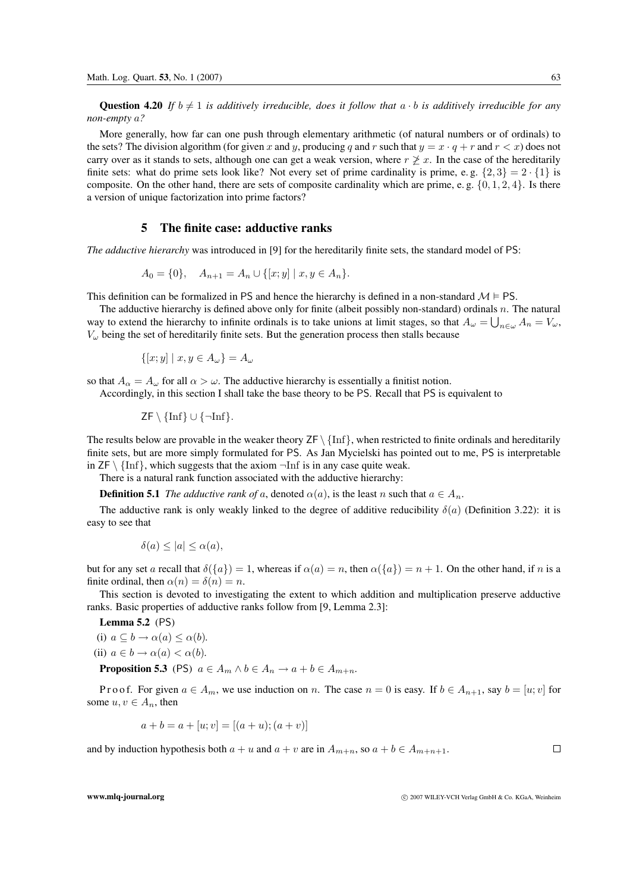**Question 4.20** If  $b \neq 1$  is additively irreducible, does it follow that  $a \cdot b$  is additively irreducible for any *non-empty* a*?*

More generally, how far can one push through elementary arithmetic (of natural numbers or of ordinals) to the sets? The division algorithm (for given x and y, producing q and r such that  $y = x \cdot q + r$  and  $r < x$ ) does not carry over as it stands to sets, although one can get a weak version, where  $r \not\geq x$ . In the case of the hereditarily finite sets: what do prime sets look like? Not every set of prime cardinality is prime, e.g.  $\{2,3\} = 2 \cdot \{1\}$  is composite. On the other hand, there are sets of composite cardinality which are prime, e.g.  $\{0, 1, 2, 4\}$ . Is there a version of unique factorization into prime factors?

### **5 The finite case: adductive ranks**

*The adductive hierarchy* was introduced in [9] for the hereditarily finite sets, the standard model of PS:

$$
A_0 = \{0\}, \quad A_{n+1} = A_n \cup \{ [x, y] \mid x, y \in A_n \}.
$$

This definition can be formalized in PS and hence the hierarchy is defined in a non-standard  $M \models PS$ .

The adductive hierarchy is defined above only for finite (albeit possibly non-standard) ordinals n. The natural way to extend the hierarchy to infinite ordinals is to take unions at limit stages, so that  $A_{\omega} = \bigcup_{n \in \omega} A_n = V_{\omega}$ ,  $V_{\omega}$  being the set of hereditarily finite sets. But the generation process then stalls because

$$
\{ [x, y] \mid x, y \in A_{\omega} \} = A_{\omega}
$$

so that  $A_{\alpha} = A_{\omega}$  for all  $\alpha > \omega$ . The adductive hierarchy is essentially a finitist notion.

Accordingly, in this section I shall take the base theory to be PS. Recall that PS is equivalent to

$$
\mathsf{ZF}\setminus\{\text{Inf}\}\cup\{\neg\text{Inf}\}.
$$

The results below are provable in the weaker theory  $ZF \setminus \{Inf\}$ , when restricted to finite ordinals and hereditarily finite sets, but are more simply formulated for PS. As Jan Mycielski has pointed out to me, PS is interpretable in  $ZF \setminus \{\text{Inf}\}\$ , which suggests that the axiom  $\neg \text{Inf}$  is in any case quite weak.

There is a natural rank function associated with the adductive hierarchy:

**Definition 5.1** *The adductive rank of a*, denoted  $\alpha(a)$ , is the least n such that  $a \in A_n$ .

The adductive rank is only weakly linked to the degree of additive reducibility  $\delta(a)$  (Definition 3.22): it is easy to see that

$$
\delta(a) \le |a| \le \alpha(a),
$$

but for any set a recall that  $\delta({a})=1$ , whereas if  $\alpha(a) = n$ , then  $\alpha({a}) = n + 1$ . On the other hand, if n is a finite ordinal, then  $\alpha(n) = \delta(n) = n$ .

This section is devoted to investigating the extent to which addition and multiplication preserve adductive ranks. Basic properties of adductive ranks follow from [9, Lemma 2.3]:

**Lemma 5.2** (PS)

(i)  $a \subseteq b \rightarrow \alpha(a) \leq \alpha(b)$ *.* (ii)  $a \in b \rightarrow \alpha(a) < \alpha(b)$ . **Proposition 5.3** (PS)  $a \in A_m \land b \in A_n \rightarrow a + b \in A_{m+n}$ .

P r o o f. For given  $a \in A_m$ , we use induction on n. The case  $n = 0$  is easy. If  $b \in A_{n+1}$ , say  $b = [u; v]$  for some  $u, v \in A_n$ , then

$$
a + b = a + [u; v] = [(a + u); (a + v)]
$$

and by induction hypothesis both  $a + u$  and  $a + v$  are in  $A_{m+n}$ , so  $a + b \in A_{m+n+1}$ .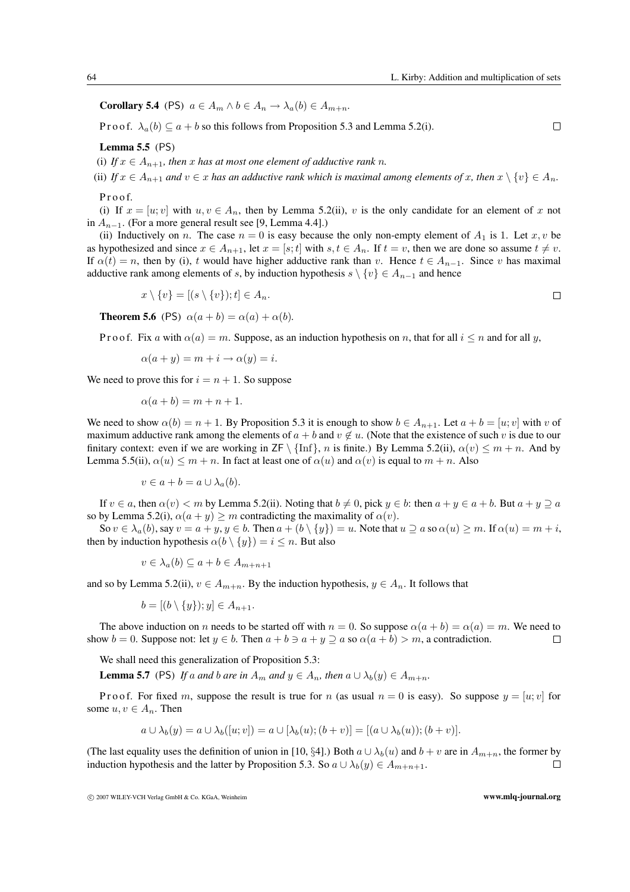**Corollary 5.4** (PS)  $a \in A_m \land b \in A_n \rightarrow \lambda_a(b) \in A_{m+n}$ .

Proof.  $\lambda_a(b) \subseteq a + b$  so this follows from Proposition 5.3 and Lemma 5.2(i).

**Lemma 5.5** (PS)

(i) If  $x \in A_{n+1}$ , then x has at most one element of adductive rank n.

(ii) If  $x \in A_{n+1}$  and  $v \in x$  has an adductive rank which is maximal among elements of x, then  $x \setminus \{v\} \in A_n$ .

P r o o f.

(i) If  $x = [u; v]$  with  $u, v \in A_n$ , then by Lemma 5.2(ii), v is the only candidate for an element of x not in  $A_{n-1}$ . (For a more general result see [9, Lemma 4.4].)

(ii) Inductively on n. The case  $n = 0$  is easy because the only non-empty element of  $A_1$  is 1. Let  $x, v$  be as hypothesized and since  $x \in A_{n+1}$ , let  $x = [s;t]$  with  $s, t \in A_n$ . If  $t = v$ , then we are done so assume  $t \neq v$ . If  $\alpha(t) = n$ , then by (i), t would have higher adductive rank than v. Hence  $t \in A_{n-1}$ . Since v has maximal adductive rank among elements of s, by induction hypothesis s  $\setminus \{v\} \in A_{n-1}$  and hence

$$
x \setminus \{v\} = [(s \setminus \{v\}); t] \in A_n.
$$

**Theorem 5.6** (PS)  $\alpha(a + b) = \alpha(a) + \alpha(b)$ .

P r o o f. Fix a with  $\alpha(a) = m$ . Suppose, as an induction hypothesis on n, that for all  $i \leq n$  and for all y,

$$
\alpha(a + y) = m + i \rightarrow \alpha(y) = i.
$$

We need to prove this for  $i = n + 1$ . So suppose

$$
\alpha(a+b) = m+n+1.
$$

We need to show  $\alpha(b) = n + 1$ . By Proposition 5.3 it is enough to show  $b \in A_{n+1}$ . Let  $a + b = [u, v]$  with v of maximum adductive rank among the elements of  $a + b$  and  $v \notin u$ . (Note that the existence of such v is due to our finitary context: even if we are working in  $\mathsf{ZF}\setminus\{\text{Inf}\}\,$ , n is finite.) By Lemma 5.2(ii),  $\alpha(v) \leq m + n$ . And by Lemma 5.5(ii),  $\alpha(u) \le m + n$ . In fact at least one of  $\alpha(u)$  and  $\alpha(v)$  is equal to  $m + n$ . Also

$$
v \in a + b = a \cup \lambda_a(b).
$$

If  $v \in a$ , then  $\alpha(v) < m$  by Lemma 5.2(ii). Noting that  $b \neq 0$ , pick  $y \in b$ : then  $a + y \in a + b$ . But  $a + y \supseteq a$ so by Lemma 5.2(i),  $\alpha(a + y) \geq m$  contradicting the maximality of  $\alpha(v)$ .

So  $v \in \lambda_a(b)$ , say  $v = a + y$ ,  $y \in b$ . Then  $a + (b \setminus \{y\}) = u$ . Note that  $u \supseteq a$  so  $\alpha(u) \geq m$ . If  $\alpha(u) = m + i$ , then by induction hypothesis  $\alpha(b \setminus \{y\}) = i \leq n$ . But also

$$
v \in \lambda_a(b) \subseteq a + b \in A_{m+n+1}
$$

and so by Lemma 5.2(ii),  $v \in A_{m+n}$ . By the induction hypothesis,  $y \in A_n$ . It follows that

$$
b = [(b \setminus \{y\}); y] \in A_{n+1}.
$$

The above induction on n needs to be started off with  $n = 0$ . So suppose  $\alpha(a + b) = \alpha(a) = m$ . We need to show  $b = 0$ . Suppose not: let  $y \in b$ . Then  $a + b \ni a + y \supseteq a$  so  $\alpha(a + b) > m$ , a contradiction.  $\Box$ 

We shall need this generalization of Proposition 5.3:

**Lemma 5.7** (PS) *If* a and *b* are in  $A_m$  and  $y \in A_n$ , then  $a \cup \lambda_b(y) \in A_{m+n}$ .

P r o o f. For fixed m, suppose the result is true for n (as usual  $n = 0$  is easy). So suppose  $y = [u; v]$  for some  $u, v \in A_n$ . Then

$$
a \cup \lambda_b(y) = a \cup \lambda_b([u; v]) = a \cup [\lambda_b(u); (b + v)] = [(a \cup \lambda_b(u)); (b + v)].
$$

(The last equality uses the definition of union in [10, §4].) Both  $a \cup \lambda_b(u)$  and  $b + v$  are in  $A_{m+n}$ , the former by induction hypothesis and the latter by Proposition 5.3. So  $a \cup \lambda_b(u) \in A_{m+n+1}$ . induction hypothesis and the latter by Proposition 5.3. So  $a \cup \lambda_b(y) \in A_{m+n+1}$ .